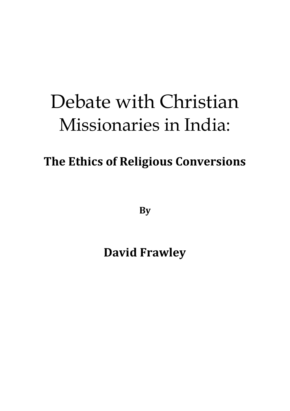## Debate with Christian Missionaries in India:

## **The Ethics of Religious Conversions**

**By**

**David Frawley**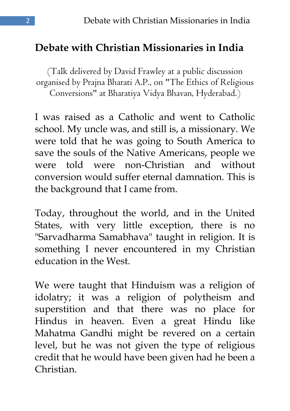## **Debate with Christian Missionaries in India**

(Talk delivered by David Frawley at a public discussion organised by Prajna Bharati A.P., on "The Ethics of Religious Conversions" at Bharatiya Vidya Bhavan, Hyderabad.)

I was raised as a Catholic and went to Catholic school. My uncle was, and still is, a missionary. We were told that he was going to South America to save the souls of the Native Americans, people we were told were non-Christian and without conversion would suffer eternal damnation. This is the background that I came from.

Today, throughout the world, and in the United States, with very little exception, there is no "Sarvadharma Samabhava" taught in religion. It is something I never encountered in my Christian education in the West.

We were taught that Hinduism was a religion of idolatry; it was a religion of polytheism and superstition and that there was no place for Hindus in heaven. Even a great Hindu like Mahatma Gandhi might be revered on a certain level, but he was not given the type of religious credit that he would have been given had he been a Christian.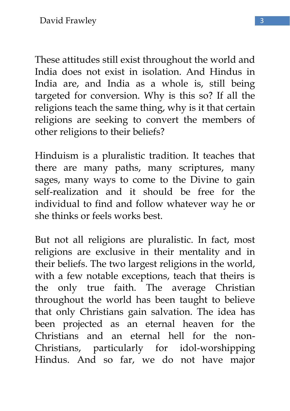These attitudes still exist throughout the world and India does not exist in isolation. And Hindus in India are, and India as a whole is, still being targeted for conversion. Why is this so? If all the religions teach the same thing, why is it that certain religions are seeking to convert the members of other religions to their beliefs?

Hinduism is a pluralistic tradition. It teaches that there are many paths, many scriptures, many sages, many ways to come to the Divine to gain self-realization and it should be free for the individual to find and follow whatever way he or she thinks or feels works best.

But not all religions are pluralistic. In fact, most religions are exclusive in their mentality and in their beliefs. The two largest religions in the world, with a few notable exceptions, teach that theirs is the only true faith. The average Christian throughout the world has been taught to believe that only Christians gain salvation. The idea has been projected as an eternal heaven for the Christians and an eternal hell for the non-Christians, particularly for idol-worshipping Hindus. And so far, we do not have major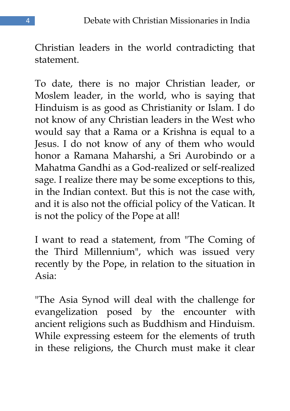Christian leaders in the world contradicting that statement.

To date, there is no major Christian leader, or Moslem leader, in the world, who is saying that Hinduism is as good as Christianity or Islam. I do not know of any Christian leaders in the West who would say that a Rama or a Krishna is equal to a Jesus. I do not know of any of them who would honor a Ramana Maharshi, a Sri Aurobindo or a Mahatma Gandhi as a God-realized or self-realized sage. I realize there may be some exceptions to this, in the Indian context. But this is not the case with, and it is also not the official policy of the Vatican. It is not the policy of the Pope at all!

I want to read a statement, from "The Coming of the Third Millennium", which was issued very recently by the Pope, in relation to the situation in Asia:

"The Asia Synod will deal with the challenge for evangelization posed by the encounter with ancient religions such as Buddhism and Hinduism. While expressing esteem for the elements of truth in these religions, the Church must make it clear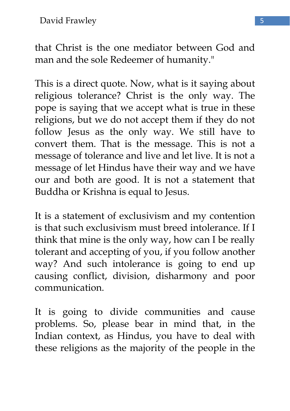that Christ is the one mediator between God and man and the sole Redeemer of humanity."

This is a direct quote. Now, what is it saying about religious tolerance? Christ is the only way. The pope is saying that we accept what is true in these religions, but we do not accept them if they do not follow Jesus as the only way. We still have to convert them. That is the message. This is not a message of tolerance and live and let live. It is not a message of let Hindus have their way and we have our and both are good. It is not a statement that Buddha or Krishna is equal to Jesus.

It is a statement of exclusivism and my contention is that such exclusivism must breed intolerance. If I think that mine is the only way, how can I be really tolerant and accepting of you, if you follow another way? And such intolerance is going to end up causing conflict, division, disharmony and poor communication.

It is going to divide communities and cause problems. So, please bear in mind that, in the Indian context, as Hindus, you have to deal with these religions as the majority of the people in the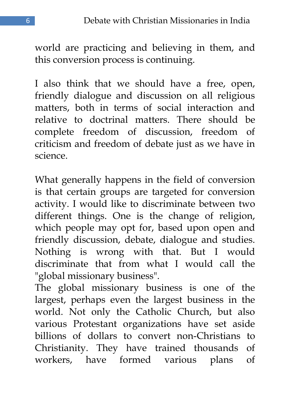world are practicing and believing in them, and this conversion process is continuing.

I also think that we should have a free, open, friendly dialogue and discussion on all religious matters, both in terms of social interaction and relative to doctrinal matters. There should be complete freedom of discussion, freedom of criticism and freedom of debate just as we have in science.

What generally happens in the field of conversion is that certain groups are targeted for conversion activity. I would like to discriminate between two different things. One is the change of religion, which people may opt for, based upon open and friendly discussion, debate, dialogue and studies. Nothing is wrong with that. But I would discriminate that from what I would call the "global missionary business".

The global missionary business is one of the largest, perhaps even the largest business in the world. Not only the Catholic Church, but also various Protestant organizations have set aside billions of dollars to convert non-Christians to Christianity. They have trained thousands of workers, have formed various plans of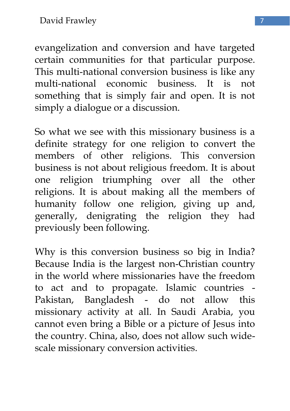evangelization and conversion and have targeted certain communities for that particular purpose. This multi-national conversion business is like any multi-national economic business. It is not something that is simply fair and open. It is not simply a dialogue or a discussion.

So what we see with this missionary business is a definite strategy for one religion to convert the members of other religions. This conversion business is not about religious freedom. It is about one religion triumphing over all the other religions. It is about making all the members of humanity follow one religion, giving up and, generally, denigrating the religion they had previously been following.

Why is this conversion business so big in India? Because India is the largest non-Christian country in the world where missionaries have the freedom to act and to propagate. Islamic countries - Pakistan, Bangladesh - do not allow this missionary activity at all. In Saudi Arabia, you cannot even bring a Bible or a picture of Jesus into the country. China, also, does not allow such widescale missionary conversion activities.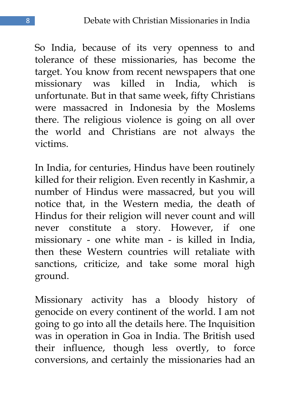So India, because of its very openness to and tolerance of these missionaries, has become the target. You know from recent newspapers that one missionary was killed in India, which is unfortunate. But in that same week, fifty Christians were massacred in Indonesia by the Moslems there. The religious violence is going on all over the world and Christians are not always the victims.

In India, for centuries, Hindus have been routinely killed for their religion. Even recently in Kashmir, a number of Hindus were massacred, but you will notice that, in the Western media, the death of Hindus for their religion will never count and will never constitute a story. However, if one missionary - one white man - is killed in India, then these Western countries will retaliate with sanctions, criticize, and take some moral high ground.

Missionary activity has a bloody history of genocide on every continent of the world. I am not going to go into all the details here. The Inquisition was in operation in Goa in India. The British used their influence, though less overtly, to force conversions, and certainly the missionaries had an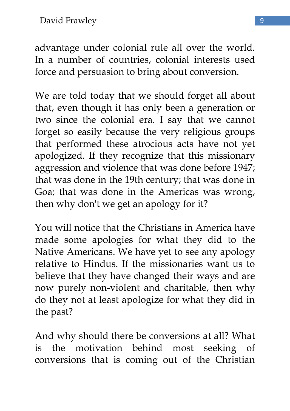advantage under colonial rule all over the world. In a number of countries, colonial interests used force and persuasion to bring about conversion.

We are told today that we should forget all about that, even though it has only been a generation or two since the colonial era. I say that we cannot forget so easily because the very religious groups that performed these atrocious acts have not yet apologized. If they recognize that this missionary aggression and violence that was done before 1947; that was done in the 19th century; that was done in Goa; that was done in the Americas was wrong, then why don't we get an apology for it?

You will notice that the Christians in America have made some apologies for what they did to the Native Americans. We have yet to see any apology relative to Hindus. If the missionaries want us to believe that they have changed their ways and are now purely non-violent and charitable, then why do they not at least apologize for what they did in the past?

And why should there be conversions at all? What is the motivation behind most seeking of conversions that is coming out of the Christian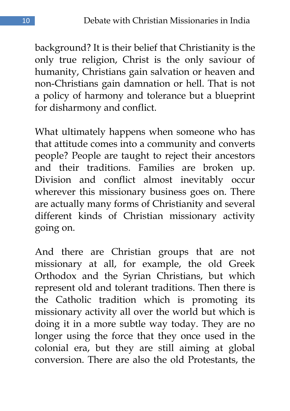background? It is their belief that Christianity is the only true religion, Christ is the only saviour of humanity, Christians gain salvation or heaven and non-Christians gain damnation or hell. That is not a policy of harmony and tolerance but a blueprint for disharmony and conflict.

What ultimately happens when someone who has that attitude comes into a community and converts people? People are taught to reject their ancestors and their traditions. Families are broken up. Division and conflict almost inevitably occur wherever this missionary business goes on. There are actually many forms of Christianity and several different kinds of Christian missionary activity going on.

And there are Christian groups that are not missionary at all, for example, the old Greek Orthodox and the Syrian Christians, but which represent old and tolerant traditions. Then there is the Catholic tradition which is promoting its missionary activity all over the world but which is doing it in a more subtle way today. They are no longer using the force that they once used in the colonial era, but they are still aiming at global conversion. There are also the old Protestants, the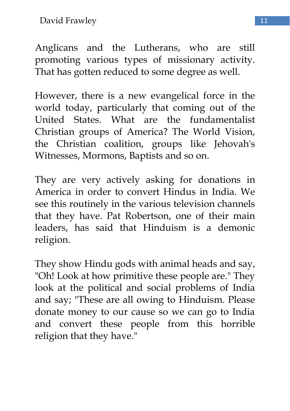David Frawley 11

Anglicans and the Lutherans, who are still promoting various types of missionary activity. That has gotten reduced to some degree as well.

However, there is a new evangelical force in the world today, particularly that coming out of the United States. What are the fundamentalist Christian groups of America? The World Vision, the Christian coalition, groups like Jehovah's Witnesses, Mormons, Baptists and so on.

They are very actively asking for donations in America in order to convert Hindus in India. We see this routinely in the various television channels that they have. Pat Robertson, one of their main leaders, has said that Hinduism is a demonic religion.

They show Hindu gods with animal heads and say, "Oh! Look at how primitive these people are." They look at the political and social problems of India and say; "These are all owing to Hinduism. Please donate money to our cause so we can go to India and convert these people from this horrible religion that they have."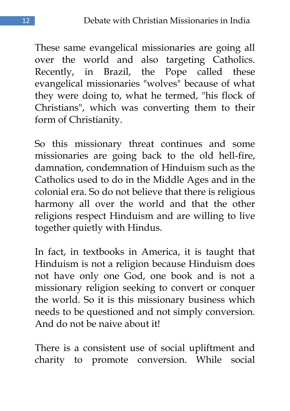These same evangelical missionaries are going all over the world and also targeting Catholics. Recently, in Brazil, the Pope called these evangelical missionaries "wolves" because of what they were doing to, what he termed, "his flock of Christians", which was converting them to their form of Christianity.

So this missionary threat continues and some missionaries are going back to the old hell-fire, damnation, condemnation of Hinduism such as the Catholics used to do in the Middle Ages and in the colonial era. So do not believe that there is religious harmony all over the world and that the other religions respect Hinduism and are willing to live together quietly with Hindus.

In fact, in textbooks in America, it is taught that Hinduism is not a religion because Hinduism does not have only one God, one book and is not a missionary religion seeking to convert or conquer the world. So it is this missionary business which needs to be questioned and not simply conversion. And do not be naive about it!

There is a consistent use of social upliftment and charity to promote conversion. While social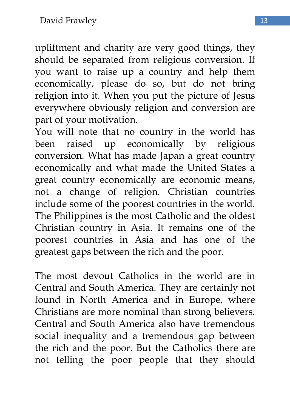upliftment and charity are very good things, they should be separated from religious conversion. If you want to raise up a country and help them economically, please do so, but do not bring religion into it. When you put the picture of Jesus everywhere obviously religion and conversion are part of your motivation.

You will note that no country in the world has been raised up economically by religious conversion. What has made Japan a great country economically and what made the United States a great country economically are economic means, not a change of religion. Christian countries include some of the poorest countries in the world. The Philippines is the most Catholic and the oldest Christian country in Asia. It remains one of the poorest countries in Asia and has one of the greatest gaps between the rich and the poor.

The most devout Catholics in the world are in Central and South America. They are certainly not found in North America and in Europe, where Christians are more nominal than strong believers. Central and South America also have tremendous social inequality and a tremendous gap between the rich and the poor. But the Catholics there are not telling the poor people that they should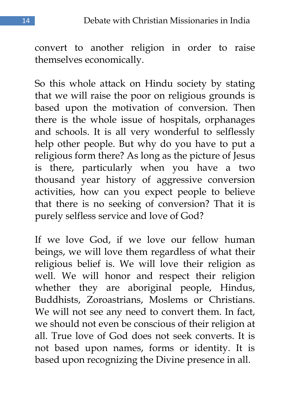convert to another religion in order to raise themselves economically.

So this whole attack on Hindu society by stating that we will raise the poor on religious grounds is based upon the motivation of conversion. Then there is the whole issue of hospitals, orphanages and schools. It is all very wonderful to selflessly help other people. But why do you have to put a religious form there? As long as the picture of Jesus is there, particularly when you have a two thousand year history of aggressive conversion activities, how can you expect people to believe that there is no seeking of conversion? That it is purely selfless service and love of God?

If we love God, if we love our fellow human beings, we will love them regardless of what their religious belief is. We will love their religion as well. We will honor and respect their religion whether they are aboriginal people, Hindus, Buddhists, Zoroastrians, Moslems or Christians. We will not see any need to convert them. In fact, we should not even be conscious of their religion at all. True love of God does not seek converts. It is not based upon names, forms or identity. It is based upon recognizing the Divine presence in all.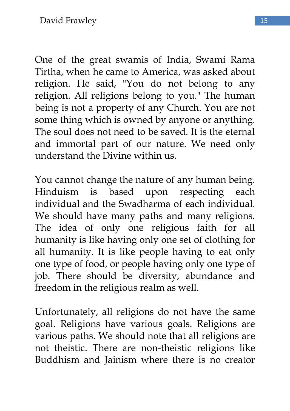One of the great swamis of India, Swami Rama Tirtha, when he came to America, was asked about religion. He said, "You do not belong to any religion. All religions belong to you." The human being is not a property of any Church. You are not some thing which is owned by anyone or anything. The soul does not need to be saved. It is the eternal and immortal part of our nature. We need only understand the Divine within us.

You cannot change the nature of any human being. Hinduism is based upon respecting each individual and the Swadharma of each individual. We should have many paths and many religions. The idea of only one religious faith for all humanity is like having only one set of clothing for all humanity. It is like people having to eat only one type of food, or people having only one type of job. There should be diversity, abundance and freedom in the religious realm as well.

Unfortunately, all religions do not have the same goal. Religions have various goals. Religions are various paths. We should note that all religions are not theistic. There are non-theistic religions like Buddhism and Jainism where there is no creator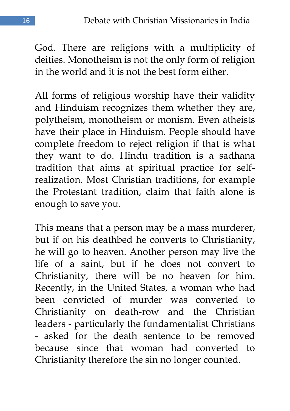God. There are religions with a multiplicity of deities. Monotheism is not the only form of religion in the world and it is not the best form either.

All forms of religious worship have their validity and Hinduism recognizes them whether they are, polytheism, monotheism or monism. Even atheists have their place in Hinduism. People should have complete freedom to reject religion if that is what they want to do. Hindu tradition is a sadhana tradition that aims at spiritual practice for selfrealization. Most Christian traditions, for example the Protestant tradition, claim that faith alone is enough to save you.

This means that a person may be a mass murderer, but if on his deathbed he converts to Christianity, he will go to heaven. Another person may live the life of a saint, but if he does not convert to Christianity, there will be no heaven for him. Recently, in the United States, a woman who had been convicted of murder was converted to Christianity on death-row and the Christian leaders - particularly the fundamentalist Christians - asked for the death sentence to be removed because since that woman had converted to Christianity therefore the sin no longer counted.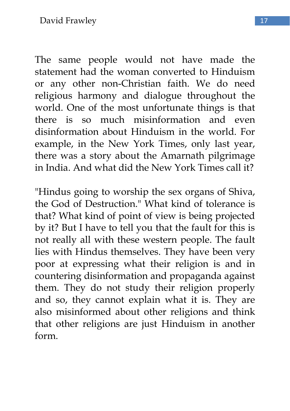The same people would not have made the statement had the woman converted to Hinduism or any other non-Christian faith. We do need religious harmony and dialogue throughout the world. One of the most unfortunate things is that there is so much misinformation and even disinformation about Hinduism in the world. For example, in the New York Times, only last year, there was a story about the Amarnath pilgrimage in India. And what did the New York Times call it?

"Hindus going to worship the sex organs of Shiva, the God of Destruction." What kind of tolerance is that? What kind of point of view is being projected by it? But I have to tell you that the fault for this is not really all with these western people. The fault lies with Hindus themselves. They have been very poor at expressing what their religion is and in countering disinformation and propaganda against them. They do not study their religion properly and so, they cannot explain what it is. They are also misinformed about other religions and think that other religions are just Hinduism in another form.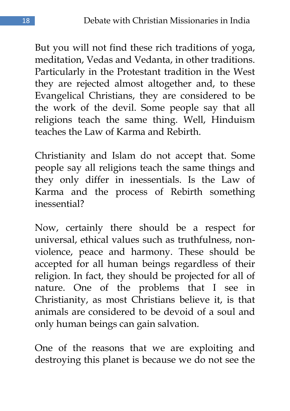But you will not find these rich traditions of yoga, meditation, Vedas and Vedanta, in other traditions. Particularly in the Protestant tradition in the West they are rejected almost altogether and, to these Evangelical Christians, they are considered to be the work of the devil. Some people say that all religions teach the same thing. Well, Hinduism teaches the Law of Karma and Rebirth.

Christianity and Islam do not accept that. Some people say all religions teach the same things and they only differ in inessentials. Is the Law of Karma and the process of Rebirth something inessential?

Now, certainly there should be a respect for universal, ethical values such as truthfulness, nonviolence, peace and harmony. These should be accepted for all human beings regardless of their religion. In fact, they should be projected for all of nature. One of the problems that I see in Christianity, as most Christians believe it, is that animals are considered to be devoid of a soul and only human beings can gain salvation.

One of the reasons that we are exploiting and destroying this planet is because we do not see the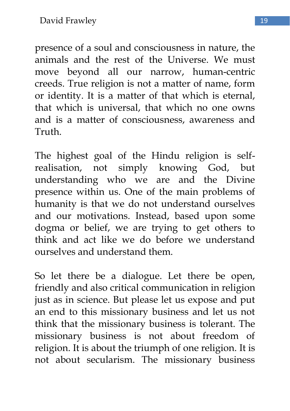presence of a soul and consciousness in nature, the animals and the rest of the Universe. We must move beyond all our narrow, human-centric creeds. True religion is not a matter of name, form or identity. It is a matter of that which is eternal, that which is universal, that which no one owns and is a matter of consciousness, awareness and Truth.

The highest goal of the Hindu religion is selfrealisation, not simply knowing God, but understanding who we are and the Divine presence within us. One of the main problems of humanity is that we do not understand ourselves and our motivations. Instead, based upon some dogma or belief, we are trying to get others to think and act like we do before we understand ourselves and understand them.

So let there be a dialogue. Let there be open, friendly and also critical communication in religion just as in science. But please let us expose and put an end to this missionary business and let us not think that the missionary business is tolerant. The missionary business is not about freedom of religion. It is about the triumph of one religion. It is not about secularism. The missionary business